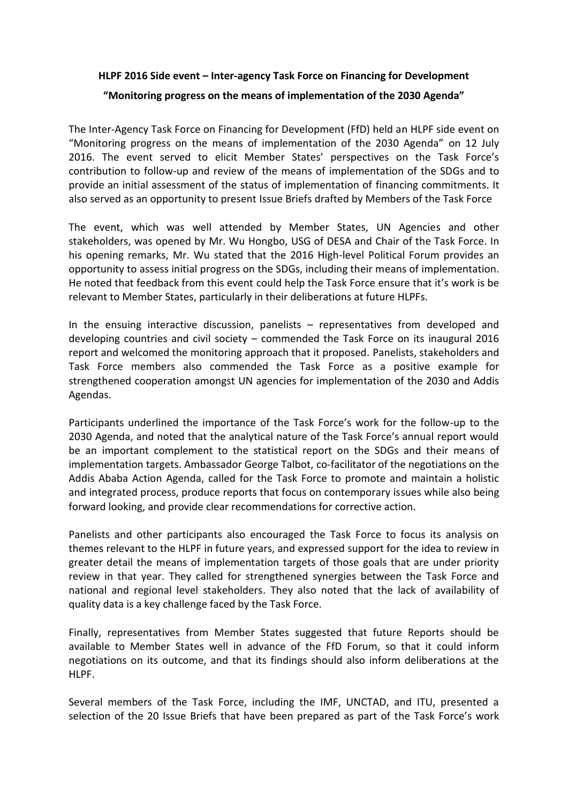## **HLPF 2016 Side event – Inter-agency Task Force on Financing for Development**

## **"Monitoring progress on the means of implementation of the 2030 Agenda"**

The Inter-Agency Task Force on Financing for Development (FfD) held an HLPF side event on "Monitoring progress on the means of implementation of the 2030 Agenda" on 12 July 2016. The event served to elicit Member States' perspectives on the Task Force's contribution to follow-up and review of the means of implementation of the SDGs and to provide an initial assessment of the status of implementation of financing commitments. It also served as an opportunity to present Issue Briefs drafted by Members of the Task Force

The event, which was well attended by Member States, UN Agencies and other stakeholders, was opened by Mr. Wu Hongbo, USG of DESA and Chair of the Task Force. In his opening remarks, Mr. Wu stated that the 2016 High-level Political Forum provides an opportunity to assess initial progress on the SDGs, including their means of implementation. He noted that feedback from this event could help the Task Force ensure that it's work is be relevant to Member States, particularly in their deliberations at future HLPFs.

In the ensuing interactive discussion, panelists – representatives from developed and developing countries and civil society – commended the Task Force on its inaugural 2016 report and welcomed the monitoring approach that it proposed. Panelists, stakeholders and Task Force members also commended the Task Force as a positive example for strengthened cooperation amongst UN agencies for implementation of the 2030 and Addis Agendas.

Participants underlined the importance of the Task Force's work for the follow-up to the 2030 Agenda, and noted that the analytical nature of the Task Force's annual report would be an important complement to the statistical report on the SDGs and their means of implementation targets. Ambassador George Talbot, co-facilitator of the negotiations on the Addis Ababa Action Agenda, called for the Task Force to promote and maintain a holistic and integrated process, produce reports that focus on contemporary issues while also being forward looking, and provide clear recommendations for corrective action.

Panelists and other participants also encouraged the Task Force to focus its analysis on themes relevant to the HLPF in future years, and expressed support for the idea to review in greater detail the means of implementation targets of those goals that are under priority review in that year. They called for strengthened synergies between the Task Force and national and regional level stakeholders. They also noted that the lack of availability of quality data is a key challenge faced by the Task Force.

Finally, representatives from Member States suggested that future Reports should be available to Member States well in advance of the FfD Forum, so that it could inform negotiations on its outcome, and that its findings should also inform deliberations at the HLPF.

Several members of the Task Force, including the IMF, UNCTAD, and ITU, presented a selection of the 20 Issue Briefs that have been prepared as part of the Task Force's work